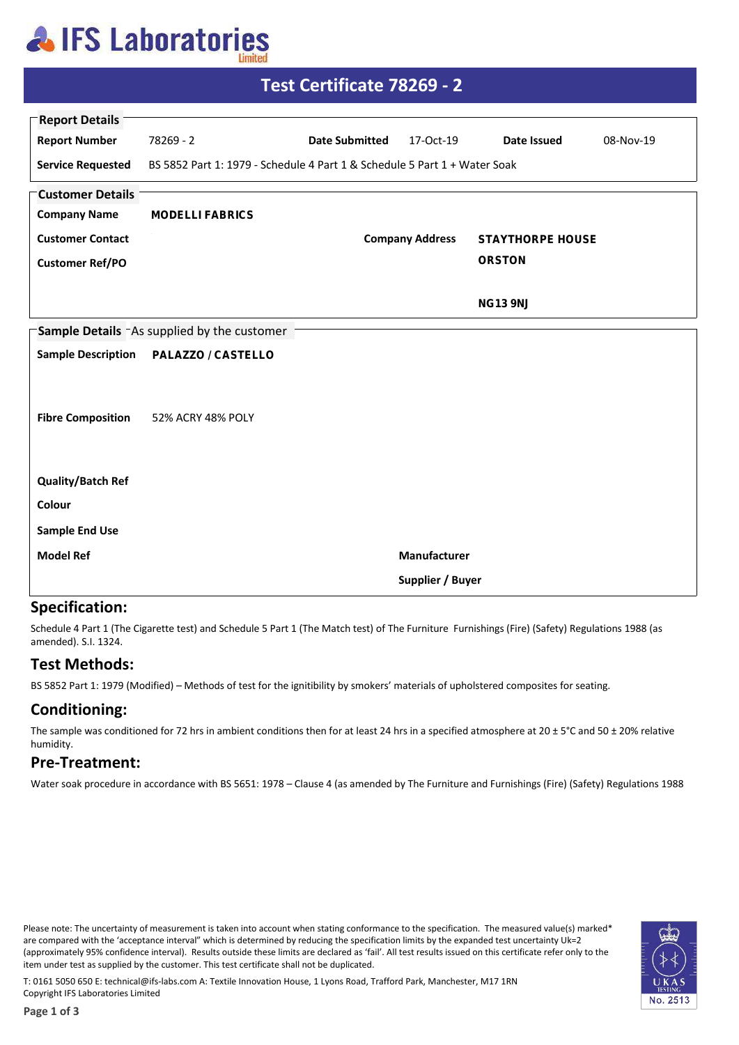## **AIFS Laboratories**

| Test Certificate 78269 - 2                              |                                                                           |                       |                        |                         |           |  |  |  |
|---------------------------------------------------------|---------------------------------------------------------------------------|-----------------------|------------------------|-------------------------|-----------|--|--|--|
| <b>Report Details</b>                                   |                                                                           |                       |                        |                         |           |  |  |  |
| <b>Report Number</b>                                    | 78269 - 2                                                                 | <b>Date Submitted</b> | 17-Oct-19              | Date Issued             | 08-Nov-19 |  |  |  |
| <b>Service Requested</b>                                | BS 5852 Part 1: 1979 - Schedule 4 Part 1 & Schedule 5 Part 1 + Water Soak |                       |                        |                         |           |  |  |  |
| <b>Customer Details</b>                                 |                                                                           |                       |                        |                         |           |  |  |  |
| <b>Company Name</b>                                     | <b>MODELLI FABRICS</b>                                                    |                       |                        |                         |           |  |  |  |
| <b>Customer Contact</b>                                 |                                                                           |                       | <b>Company Address</b> | <b>STAYTHORPE HOUSE</b> |           |  |  |  |
| <b>Customer Ref/PO</b>                                  |                                                                           |                       |                        | <b>ORSTON</b>           |           |  |  |  |
|                                                         |                                                                           |                       |                        | <b>NG13 9NJ</b>         |           |  |  |  |
|                                                         |                                                                           |                       |                        |                         |           |  |  |  |
| Sample Details <sup>-</sup> As supplied by the customer |                                                                           |                       |                        |                         |           |  |  |  |
|                                                         | Sample Description    PALAZZO / CASTELLO                                  |                       |                        |                         |           |  |  |  |
|                                                         |                                                                           |                       |                        |                         |           |  |  |  |
| <b>Fibre Composition</b>                                | 52% ACRY 48% POLY                                                         |                       |                        |                         |           |  |  |  |
|                                                         |                                                                           |                       |                        |                         |           |  |  |  |
|                                                         |                                                                           |                       |                        |                         |           |  |  |  |
| <b>Quality/Batch Ref</b>                                |                                                                           |                       |                        |                         |           |  |  |  |
| Colour                                                  |                                                                           |                       |                        |                         |           |  |  |  |
| <b>Sample End Use</b>                                   |                                                                           |                       |                        |                         |           |  |  |  |
| <b>Model Ref</b>                                        |                                                                           |                       | Manufacturer           |                         |           |  |  |  |
|                                                         | Supplier / Buyer                                                          |                       |                        |                         |           |  |  |  |

#### **Specification:**

Schedule 4 Part 1 (The Cigarette test) and Schedule 5 Part 1 (The Match test) of The Furniture Furnishings (Fire) (Safety) Regulations 1988 (as amended). S.I. 1324.

### **Test Methods:**

BS 5852 Part 1: 1979 (Modified) - Methods of test for the ignitibility by smokers' materials of upholstered composites for seating.

### **Conditioning:**

The sample was conditioned for 72 hrs in ambient conditions then for at least 24 hrs in a specified atmosphere at  $20 \pm 5^{\circ}$ C and 50  $\pm$  20% relative humidity.

#### **Pre-Treatment:**

Water soak procedure in accordance with BS 5651: 1978 - Clause 4 (as amended by The Furniture and Furnishings (Fire) (Safety) Regulations 1988

Please note: The uncertainty of measurement is taken into account when stating conformance to the specification. The measured value(s) marked\* are compared with the 'acceptance interval" which is determined by reducing the specification limits by the expanded test uncertainty Uk=2 (approximately 95% confidence interval). Results outside these limits are declared as 'fail'. All test results issued on this certificate refer only to the item under test as supplied by the customer. This test certificate shall not be duplicated.



T: 0161 5050 650 E: technical@ifs-labs.com A: Textile Innovation House, 1 Lyons Road, Trafford Park, Manchester, M17 1RN Copyright IFS Laboratories Limited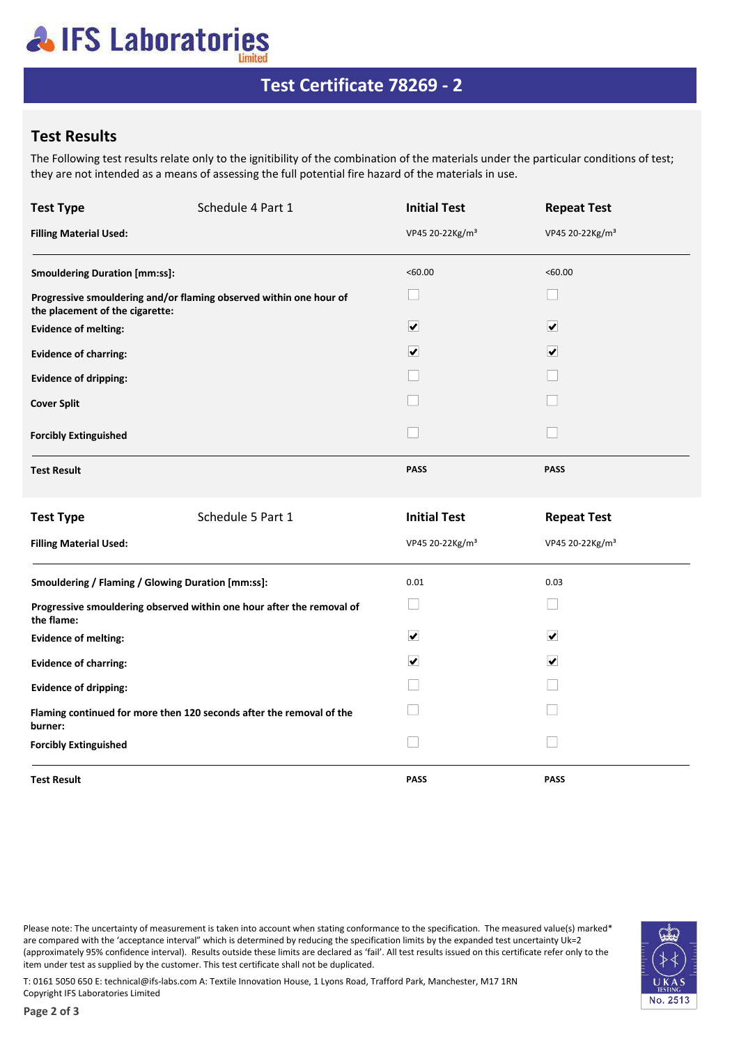# **AIFS Laboratories**

## Test Certificate 78269 - 2

### **Test Results**

The Following test results relate only to the ignitibility of the combination of the materials under the particular conditions of test; they are not intended as a means of assessing the full potential fire hazard of the materials in use.

| <b>Test Type</b>                                                                    | Schedule 4 Part 1                                                    | <b>Initial Test</b>         | <b>Repeat Test</b>          |  |
|-------------------------------------------------------------------------------------|----------------------------------------------------------------------|-----------------------------|-----------------------------|--|
| <b>Filling Material Used:</b>                                                       |                                                                      | VP45 20-22Kg/m <sup>3</sup> | VP45 20-22Kg/m <sup>3</sup> |  |
| <b>Smouldering Duration [mm:ss]:</b>                                                |                                                                      | <60.00                      | < 60.00                     |  |
| the placement of the cigarette:                                                     | Progressive smouldering and/or flaming observed within one hour of   |                             |                             |  |
| <b>Evidence of melting:</b>                                                         |                                                                      | $\overline{\mathbf{v}}$     | $\overline{\mathbf{v}}$     |  |
| <b>Evidence of charring:</b>                                                        |                                                                      | $\overline{\mathbf{v}}$     | $\overline{\mathbf{v}}$     |  |
| <b>Evidence of dripping:</b>                                                        |                                                                      |                             |                             |  |
| <b>Cover Split</b>                                                                  |                                                                      |                             |                             |  |
| <b>Forcibly Extinguished</b>                                                        |                                                                      | $\vert \ \ \vert$           |                             |  |
| <b>Test Result</b>                                                                  |                                                                      | <b>PASS</b>                 | <b>PASS</b>                 |  |
| <b>Test Type</b>                                                                    | Schedule 5 Part 1                                                    | <b>Initial Test</b>         | <b>Repeat Test</b>          |  |
| <b>Filling Material Used:</b>                                                       |                                                                      | VP45 20-22Kg/m <sup>3</sup> | VP45 20-22Kg/m <sup>3</sup> |  |
| Smouldering / Flaming / Glowing Duration [mm:ss]:                                   |                                                                      | 0.01                        | 0.03                        |  |
| Progressive smouldering observed within one hour after the removal of<br>the flame: |                                                                      | $\sim$                      |                             |  |
| <b>Evidence of melting:</b>                                                         |                                                                      | $\blacktriangledown$        | $\overline{\mathbf{v}}$     |  |
| <b>Evidence of charring:</b>                                                        |                                                                      | $\overline{\mathbf{v}}$     | $\overline{\mathbf{v}}$     |  |
| <b>Evidence of dripping:</b>                                                        |                                                                      |                             |                             |  |
| burner:                                                                             | Flaming continued for more then 120 seconds after the removal of the |                             |                             |  |
| <b>Forcibly Extinguished</b>                                                        |                                                                      | $\mathsf{L}$                |                             |  |
| <b>Test Result</b>                                                                  |                                                                      | <b>PASS</b>                 | <b>PASS</b>                 |  |

Please note: The uncertainty of measurement is taken into account when stating conformance to the specification. The measured value(s) marked\* are compared with the 'acceptance interval" which is determined by reducing the specification limits by the expanded test uncertainty Uk=2 (approximately 95% confidence interval). Results outside these limits are declared as 'fail'. All test results issued on this certificate refer only to the item under test as supplied by the customer. This test certificate shall not be duplicated.



T: 0161 5050 650 E: technical@ifs-labs.com A: Textile Innovation House, 1 Lyons Road, Trafford Park, Manchester, M17 1RN Copyright IFS Laboratories Limited